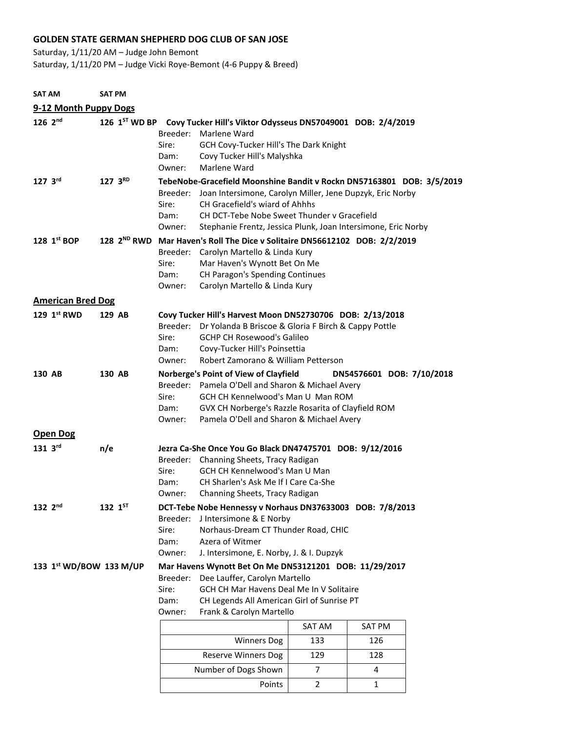## **GOLDEN STATE GERMAN SHEPHERD DOG CLUB OF SAN JOSE**

Saturday, 1/11/20 AM – Judge John Bemont

Saturday, 1/11/20 PM – Judge Vicki Roye-Bemont (4-6 Puppy & Breed)

| <b>SAT AM</b>                      | SAT PM  |                  |                                                                                                                                                                                                                                                                                           |                                                                                                                                                                                                                                         |                |               |  |  |
|------------------------------------|---------|------------------|-------------------------------------------------------------------------------------------------------------------------------------------------------------------------------------------------------------------------------------------------------------------------------------------|-----------------------------------------------------------------------------------------------------------------------------------------------------------------------------------------------------------------------------------------|----------------|---------------|--|--|
| 9-12 Month Puppy Dogs              |         |                  |                                                                                                                                                                                                                                                                                           |                                                                                                                                                                                                                                         |                |               |  |  |
| $126 \, 2^{nd}$                    |         |                  | Sire:<br>Dam:<br>Owner:                                                                                                                                                                                                                                                                   | 126 1 <sup>ST</sup> WD BP Covy Tucker Hill's Viktor Odysseus DN57049001 DOB: 2/4/2019<br>Breeder: Marlene Ward<br>GCH Covy-Tucker Hill's The Dark Knight<br>Covy Tucker Hill's Malyshka<br>Marlene Ward                                 |                |               |  |  |
| $127 \, 3^{RD}$<br>$127 \, 3^{rd}$ |         |                  | TebeNobe-Gracefield Moonshine Bandit v Rockn DN57163801 DOB: 3/5/2019                                                                                                                                                                                                                     |                                                                                                                                                                                                                                         |                |               |  |  |
|                                    |         |                  | Breeder:<br>Sire:<br>Dam:<br>Owner:                                                                                                                                                                                                                                                       | Joan Intersimone, Carolyn Miller, Jene Dupzyk, Eric Norby<br>CH Gracefield's wiard of Ahhhs<br>CH DCT-Tebe Nobe Sweet Thunder y Gracefield<br>Stephanie Frentz, Jessica Plunk, Joan Intersimone, Eric Norby                             |                |               |  |  |
| 128 1st BOP                        |         | 128 $2^{ND}$ RWD |                                                                                                                                                                                                                                                                                           | Mar Haven's Roll The Dice v Solitaire DN56612102 DOB: 2/2/2019                                                                                                                                                                          |                |               |  |  |
|                                    |         |                  | Sire:<br>Dam:<br>Owner:                                                                                                                                                                                                                                                                   | Breeder: Carolyn Martello & Linda Kury<br>Mar Haven's Wynott Bet On Me<br>CH Paragon's Spending Continues<br>Carolyn Martello & Linda Kury                                                                                              |                |               |  |  |
| <b>American Bred Dog</b>           |         |                  |                                                                                                                                                                                                                                                                                           |                                                                                                                                                                                                                                         |                |               |  |  |
| 129 1st RWD                        | 129 AB  |                  | Sire:<br>Dam:<br>Owner:                                                                                                                                                                                                                                                                   | Covy Tucker Hill's Harvest Moon DN52730706 DOB: 2/13/2018<br>Breeder: Dr Yolanda B Briscoe & Gloria F Birch & Cappy Pottle<br><b>GCHP CH Rosewood's Galileo</b><br>Covy-Tucker Hill's Poinsettia<br>Robert Zamorano & William Petterson |                |               |  |  |
| 130 AB                             | 130 AB  |                  | Norberge's Point of View of Clayfield<br>DN54576601 DOB: 7/10/2018<br>Breeder: Pamela O'Dell and Sharon & Michael Avery<br>GCH CH Kennelwood's Man U Man ROM<br>Sire:<br>GVX CH Norberge's Razzle Rosarita of Clayfield ROM<br>Dam:<br>Owner:<br>Pamela O'Dell and Sharon & Michael Avery |                                                                                                                                                                                                                                         |                |               |  |  |
| <b>Open Dog</b>                    |         |                  |                                                                                                                                                                                                                                                                                           |                                                                                                                                                                                                                                         |                |               |  |  |
| 131 3rd                            | n/e     |                  | Sire:<br>Dam:<br>Owner:                                                                                                                                                                                                                                                                   | Jezra Ca-She Once You Go Black DN47475701 DOB: 9/12/2016<br>Breeder: Channing Sheets, Tracy Radigan<br>GCH CH Kennelwood's Man U Man<br>CH Sharlen's Ask Me If I Care Ca-She<br>Channing Sheets, Tracy Radigan                          |                |               |  |  |
| $132 \, 2^{nd}$                    | 132 1ST |                  | Breeder:<br>Sire:<br>Dam:<br>Owner:                                                                                                                                                                                                                                                       | DCT-Tebe Nobe Hennessy v Norhaus DN37633003 DOB: 7/8/2013<br>J Intersimone & E Norby<br>Norhaus-Dream CT Thunder Road, CHIC<br>Azera of Witmer<br>J. Intersimone, E. Norby, J. & I. Dupzyk                                              |                |               |  |  |
| 133 1st WD/BOW 133 M/UP            |         |                  | Mar Havens Wynott Bet On Me DN53121201 DOB: 11/29/2017<br>Breeder:<br>Dee Lauffer, Carolyn Martello<br>GCH CH Mar Havens Deal Me In V Solitaire<br>Sire:<br>CH Legends All American Girl of Sunrise PT<br>Dam:<br>Frank & Carolyn Martello<br>Owner:                                      |                                                                                                                                                                                                                                         |                |               |  |  |
|                                    |         |                  |                                                                                                                                                                                                                                                                                           |                                                                                                                                                                                                                                         | SAT AM         | <b>SAT PM</b> |  |  |
|                                    |         |                  |                                                                                                                                                                                                                                                                                           | <b>Winners Dog</b>                                                                                                                                                                                                                      | 133            | 126           |  |  |
|                                    |         |                  |                                                                                                                                                                                                                                                                                           | <b>Reserve Winners Dog</b>                                                                                                                                                                                                              | 129            | 128           |  |  |
|                                    |         |                  |                                                                                                                                                                                                                                                                                           | Number of Dogs Shown                                                                                                                                                                                                                    | $\overline{7}$ | 4             |  |  |
|                                    |         |                  |                                                                                                                                                                                                                                                                                           | Points                                                                                                                                                                                                                                  | $\overline{2}$ | $\mathbf{1}$  |  |  |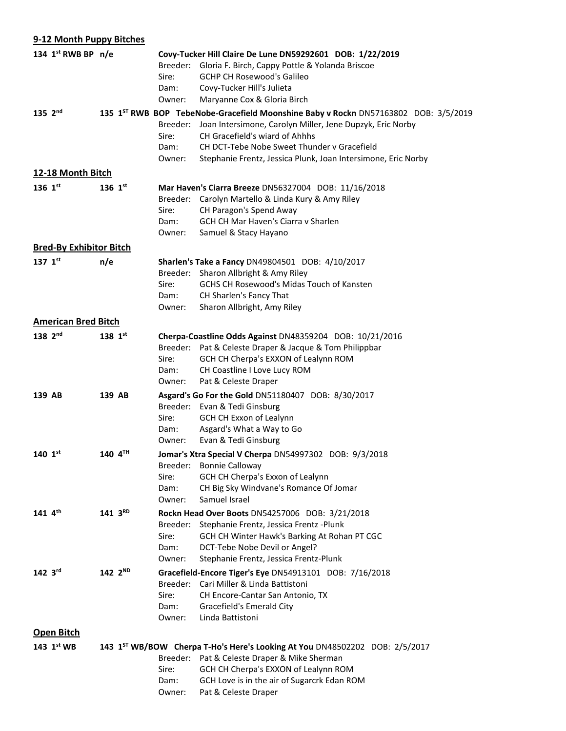| 9-12 Month Puppy Bitches       |                     |                                     |                                                                                                                                                                                                                                                                                                                |
|--------------------------------|---------------------|-------------------------------------|----------------------------------------------------------------------------------------------------------------------------------------------------------------------------------------------------------------------------------------------------------------------------------------------------------------|
| 134 1st RWB BP n/e             |                     | Sire:<br>Dam:<br>Owner:             | Covy-Tucker Hill Claire De Lune DN59292601 DOB: 1/22/2019<br>Breeder: Gloria F. Birch, Cappy Pottle & Yolanda Briscoe<br><b>GCHP CH Rosewood's Galileo</b><br>Covy-Tucker Hill's Julieta<br>Maryanne Cox & Gloria Birch                                                                                        |
| $135 \, 2^{nd}$                |                     | Breeder:<br>Sire:<br>Dam:<br>Owner: | 135 1 <sup>ST</sup> RWB BOP TebeNobe-Gracefield Moonshine Baby v Rockn DN57163802 DOB: 3/5/2019<br>Joan Intersimone, Carolyn Miller, Jene Dupzyk, Eric Norby<br>CH Gracefield's wiard of Ahhhs<br>CH DCT-Tebe Nobe Sweet Thunder y Gracefield<br>Stephanie Frentz, Jessica Plunk, Joan Intersimone, Eric Norby |
| 12-18 Month Bitch              |                     |                                     |                                                                                                                                                                                                                                                                                                                |
| 136 1st                        | 136 $1^{st}$        | Sire:<br>Dam:<br>Owner:             | Mar Haven's Ciarra Breeze DN56327004 DOB: 11/16/2018<br>Breeder: Carolyn Martello & Linda Kury & Amy Riley<br>CH Paragon's Spend Away<br><b>GCH CH Mar Haven's Ciarra v Sharlen</b><br>Samuel & Stacy Hayano                                                                                                   |
| <b>Bred-By Exhibitor Bitch</b> |                     |                                     |                                                                                                                                                                                                                                                                                                                |
| 137 $1^{st}$                   | n/e                 | Sire:<br>Dam:<br>Owner:             | Sharlen's Take a Fancy DN49804501 DOB: 4/10/2017<br>Breeder: Sharon Allbright & Amy Riley<br><b>GCHS CH Rosewood's Midas Touch of Kansten</b><br>CH Sharlen's Fancy That<br>Sharon Allbright, Amy Riley                                                                                                        |
| <b>American Bred Bitch</b>     |                     |                                     |                                                                                                                                                                                                                                                                                                                |
| $138 \, 2^{nd}$                | 138 $1^{st}$        | Sire: l<br>Dam:<br>Owner:           | Cherpa-Coastline Odds Against DN48359204 DOB: 10/21/2016<br>Breeder: Pat & Celeste Draper & Jacque & Tom Philippbar<br>GCH CH Cherpa's EXXON of Lealynn ROM<br>CH Coastline I Love Lucy ROM<br>Pat & Celeste Draper                                                                                            |
| 139 AB                         | 139 AB              | Sire:<br>Dam:<br>Owner:             | Asgard's Go For the Gold DN51180407 DOB: 8/30/2017<br>Breeder: Evan & Tedi Ginsburg<br>GCH CH Exxon of Lealynn<br>Asgard's What a Way to Go<br>Evan & Tedi Ginsburg                                                                                                                                            |
| 140 $1^{st}$                   | 140 4TH             | Breeder:<br>Sire:<br>Dam:<br>Owner: | Jomar's Xtra Special V Cherpa DN54997302 DOB: 9/3/2018<br><b>Bonnie Calloway</b><br>GCH CH Cherpa's Exxon of Lealynn<br>CH Big Sky Windvane's Romance Of Jomar<br>Samuel Israel                                                                                                                                |
| 141 4th                        | $141 \, 3^{RD}$     | Sire:<br>Dam:<br>Owner:             | Rockn Head Over Boots DN54257006 DOB: 3/21/2018<br>Breeder: Stephanie Frentz, Jessica Frentz - Plunk<br>GCH CH Winter Hawk's Barking At Rohan PT CGC<br>DCT-Tebe Nobe Devil or Angel?<br>Stephanie Frentz, Jessica Frentz-Plunk                                                                                |
| $142 \, 3^{rd}$                | 142 2 <sup>ND</sup> | Breeder:<br>Sire:<br>Dam:<br>Owner: | Gracefield-Encore Tiger's Eye DN54913101 DOB: 7/16/2018<br>Cari Miller & Linda Battistoni<br>CH Encore-Cantar San Antonio, TX<br>Gracefield's Emerald City<br>Linda Battistoni                                                                                                                                 |
| <b>Open Bitch</b>              |                     |                                     |                                                                                                                                                                                                                                                                                                                |
| 143 1 <sup>st</sup> WB         |                     | Sire:<br>Dam:<br>Owner:             | 143 1 <sup>ST</sup> WB/BOW Cherpa T-Ho's Here's Looking At You DN48502202 DOB: 2/5/2017<br>Breeder: Pat & Celeste Draper & Mike Sherman<br>GCH CH Cherpa's EXXON of Lealynn ROM<br>GCH Love is in the air of Sugarcrk Edan ROM<br>Pat & Celeste Draper                                                         |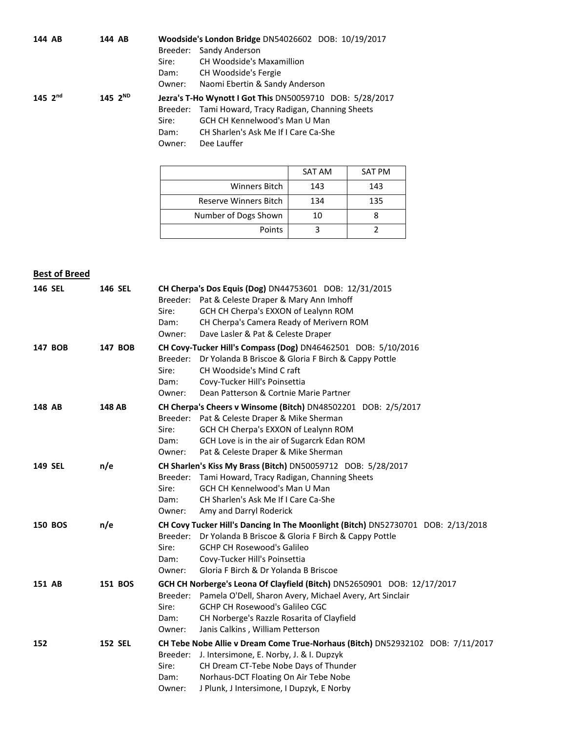| 144 AB          |  | 144 AB       | Woodside's London Bridge DN54026602 DOB: 10/19/2017 |                                                          |
|-----------------|--|--------------|-----------------------------------------------------|----------------------------------------------------------|
|                 |  |              | Breeder:                                            | Sandy Anderson                                           |
|                 |  |              | Sire:                                               | CH Woodside's Maxamillion                                |
|                 |  |              | Dam:                                                | CH Woodside's Fergie                                     |
|                 |  |              | Owner:                                              | Naomi Ebertin & Sandy Anderson                           |
| $145 \, 2^{nd}$ |  | 145 $2^{ND}$ |                                                     | Jezra's T-Ho Wynott I Got This DN50059710 DOB: 5/28/2017 |
|                 |  |              |                                                     | Breeder: Tami Howard, Tracy Radigan, Channing Sheets     |
|                 |  |              | Sire:                                               | <b>GCH CH Kennelwood's Man U Man</b>                     |
|                 |  |              | Dam:                                                | CH Sharlen's Ask Me If I Care Ca-She                     |
|                 |  |              | Owner:                                              | Dee Lauffer                                              |
|                 |  |              |                                                     |                                                          |
|                 |  |              |                                                     |                                                          |

|                       | SAT AM | SAT PM |
|-----------------------|--------|--------|
| Winners Bitch         | 143    | 143    |
| Reserve Winners Bitch | 134    | 135    |
| Number of Dogs Shown  | 10     |        |
| Points                |        |        |

## **Best of Breed**

| <b>146 SEL</b> | <b>146 SEL</b> | Sire:<br>Dam:<br>Owner: | CH Cherpa's Dos Equis (Dog) DN44753601 DOB: 12/31/2015<br>Breeder: Pat & Celeste Draper & Mary Ann Imhoff<br>GCH CH Cherpa's EXXON of Lealynn ROM<br>CH Cherpa's Camera Ready of Merivern ROM<br>Dave Lasler & Pat & Celeste Draper                                     |
|----------------|----------------|-------------------------|-------------------------------------------------------------------------------------------------------------------------------------------------------------------------------------------------------------------------------------------------------------------------|
| 147 BOB        | 147 BOB        | Sire:<br>Dam:<br>Owner: | CH Covy-Tucker Hill's Compass (Dog) DN46462501 DOB: 5/10/2016<br>Breeder: Dr Yolanda B Briscoe & Gloria F Birch & Cappy Pottle<br>CH Woodside's Mind C raft<br>Covy-Tucker Hill's Poinsettia<br>Dean Patterson & Cortnie Marie Partner                                  |
| 148 AB         | 148 AB         | Sire:<br>Dam:<br>Owner: | CH Cherpa's Cheers v Winsome (Bitch) DN48502201 DOB: 2/5/2017<br>Breeder: Pat & Celeste Draper & Mike Sherman<br>GCH CH Cherpa's EXXON of Lealynn ROM<br>GCH Love is in the air of Sugarcrk Edan ROM<br>Pat & Celeste Draper & Mike Sherman                             |
| <b>149 SEL</b> | n/e            | Sire:<br>Dam:<br>Owner: | CH Sharlen's Kiss My Brass (Bitch) DN50059712 DOB: 5/28/2017<br>Breeder: Tami Howard, Tracy Radigan, Channing Sheets<br>GCH CH Kennelwood's Man U Man<br>CH Sharlen's Ask Me If I Care Ca-She<br>Amy and Darryl Roderick                                                |
| <b>150 BOS</b> | n/e            | Sire:<br>Dam:<br>Owner: | CH Covy Tucker Hill's Dancing In The Moonlight (Bitch) DN52730701 DOB: 2/13/2018<br>Breeder: Dr Yolanda B Briscoe & Gloria F Birch & Cappy Pottle<br><b>GCHP CH Rosewood's Galileo</b><br>Covy-Tucker Hill's Poinsettia<br>Gloria F Birch & Dr Yolanda B Briscoe        |
| 151 AB         | 151 BOS        | Sire:<br>Dam:<br>Owner: | GCH CH Norberge's Leona Of Clayfield (Bitch) DN52650901 DOB: 12/17/2017<br>Breeder: Pamela O'Dell, Sharon Avery, Michael Avery, Art Sinclair<br><b>GCHP CH Rosewood's Galileo CGC</b><br>CH Norberge's Razzle Rosarita of Clayfield<br>Janis Calkins, William Petterson |
| 152            | <b>152 SEL</b> | Sire:<br>Dam:<br>Owner: | CH Tebe Nobe Allie v Dream Come True-Norhaus (Bitch) DN52932102 DOB: 7/11/2017<br>Breeder: J. Intersimone, E. Norby, J. & I. Dupzyk<br>CH Dream CT-Tebe Nobe Days of Thunder<br>Norhaus-DCT Floating On Air Tebe Nobe<br>J Plunk, J Intersimone, I Dupzyk, E Norby      |